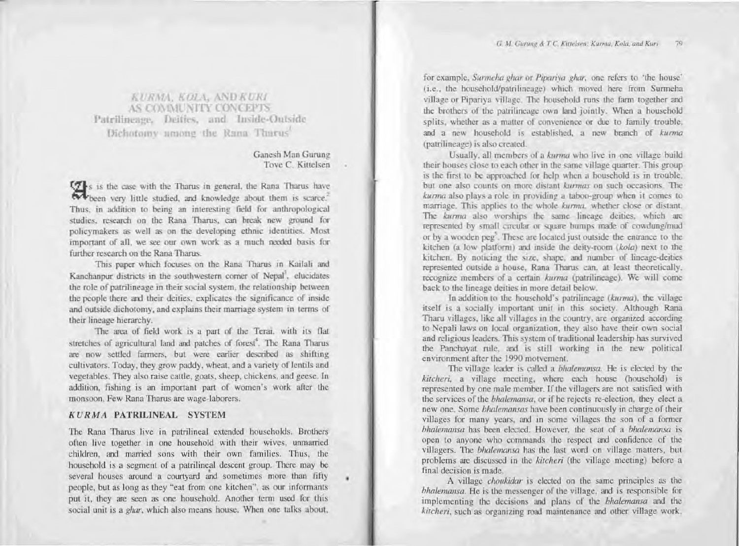# KURMA, KOLA, AND KURI AS COMMUNITY CONCEPTS Patrilineage, Deities, and Inside-Outside Dichotomy umong the Rana Tharus'

#### Ganesh Man Gurung Tove C. Kittelsen

•

**12** is the case with the Tharus in general, the Rana Tharus have Wheen very little studied, and knowledge about them is scarce.<sup>2</sup> Thus, in addition to being an interesting field for anthropological studies, research on the Rana Tharus, can break new ground for policymakers as well as on the developing ethnic identities. Most important of all, we see our own work as a much needed basis for further research on the Rana Tharus,

This paper which focuses on the Rana Tharus in Kailali and Kanchanpur districts in the southwestern corner of Nepal', elucidates the role of patrilineage in their social system, the relationship between the people there and their deities, explicates the significance of inside and outside dichotomy, and explains their marriage system in terms of their lineage hierarchy.

The area of field work is a part of the Terai, with its flat stretches of agricultural land and patches of forest<sup>4</sup>. The Rana Tharus are now settled farmers, but were earlier described as shifting cultivators. Today, they grow paddy, wheat, and a variety of lentils and vegetables. They also raise cattle, goats, sheep, chickens, and geese. In addition. fishing is an important part of women's work after the monsoon. Few Rana Tharus are wage-laborers.

#### *KURMA* PATRILINEAL SYSTEM

The Rana Tharus live in patrilineal extended households. Brothers often live together in one household with their wives, unmarried children, and married sons with their own families. Thus, the household is a segment of a patrilineal descent group. There may be several houses around a courtyard and sometimes more than fifty people, but as long as they "eat from one kitchen", as our informants put it, they are seen as one household. Another term used for this social unit is a *ghar*, which also means house. When one talks about. for example, *Surmeha ghar* or *Pipariya ghar*, one refers to 'the house' (i.e.. the houschold/patrilincugcj which moved here from Surmeha village or Pipariya village. The household runs the farm together and the brothers of the patrilineage own land jointly. When a household splits, whether as a matter of convenience or due to family trouble. and a new household is established, a new branch of kurma (patrilineage) is also created.

Usually, all members of a *kurma* who live in one village build their houses close to each other in the same village quarter. This group is the first to be approached for help when a household is in trouble. but one also counts on more distant *kurmas* on such occasions. The *kurma* also plays a role in providing a taboo-group when it comes to marriage. This applies to the whole *kurma*, whether close or distant. The *kurma* also worships the same lineage deities, which are represented by small circular or square bumps made of cowdung/mud or by a wooden peg<sup>5</sup>. These are located just outside the entrance to the kitchen (a low platform) and inside the deity-room (kola) next to the kitchen. By noticing the size, shape, and number of lineage-deities represented outside a house. Rana Tharus can. at least theoretically. recognize members of a certain *kurma* (patrilineage). We will come back to the lineage deities in more detail below.

In addition to the household's patrilineage *(kurma)*, the village itself is a socially important unit in this society. Although Rana Tharu villages, like all villages in the country, are organized according to Nepali laws on local organization, they also have their own social and religious leaders. This sy tern of traditional leadership has survived the Panchayat rule, and is still working in the new political environment after the 1990 motvement.

The village leader is called a *bhalemansa*. He is elected by the *kitcheri*, a village meeting, where each house (household) is represented by one male member. If the villagers are not satisfied with the services of the *bhalemansa*, or if he rejects re-election, they elect a new one. Some *bhulemansas* have been continuously in charge of their villages for many years, and in some villages the son of a former *bhalemansa* has been elected. However. the seat of a *bhalemansa* is open to anyone who commands the respect and confidence of the villagers. The *bhalemansa* has the last word on village matters, but problems arc discussed in the *kilcheri* (lhe village meeting) before a final decision is made.

A village *choukidar* is elected on the same principles as the *bhalemansa*. He is the messenger of the village, and is responsible for implementing the decisions and plans of the bhalemansa and the *kitcheri*, such as organizing road maintenance and other village work.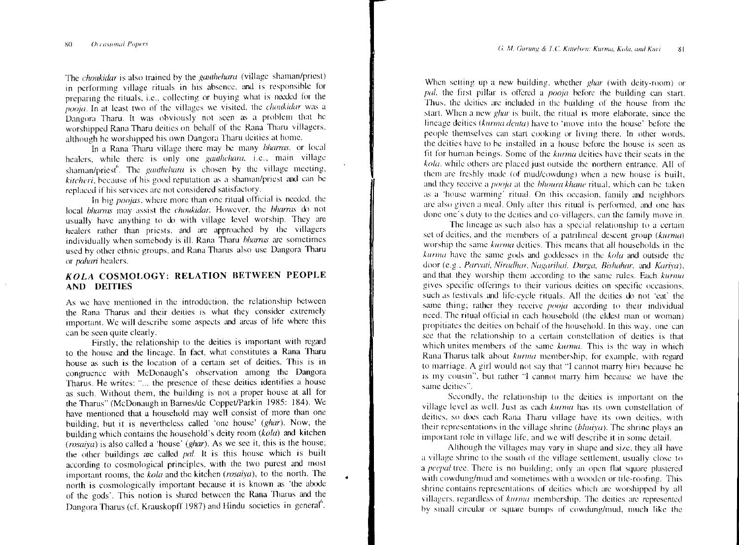The *choukidar* is also trained by the *gauthehara* (village shaman/priest) in performing village rituals in his absence. and is responsible for preparing the rituals, i.e., collecting or buying what is needed for the *pooja.* In at least two of the villages we visited, the *choukidar* was a Dangora Tharu. It was obviously not seen as a problem that he worshipped Rana Tharu deities on behalf of the Rana Tharu villagers. although he worshipped his own Dangora Tharu deities at home.

In a Rana Tharu village there may be many *bharras*, or local healers, while there is only one gauthehara, i.e., main village shaman/priest<sup>6</sup>. The *gauthehara* is chosen by the village meeting, *kitcheri*, because of his good reputation as a shaman/priest and can be replaced if his services arc not considered satisfactory.

In big *poojas.* where more than one ritual official is needed, the local *bharras* may assist the *choukidar*. However, the *bharras* do not usually have anything to do with village level worship. They are healers rather than priests, and arc approached by the villagers individually when somebody is Ill. Rana Tharu *bharras* arc sometimes used by other ethnic groups, and Rana Tharus also usc Dangora Tharu or *pahari* healers.

### *KOLA* **COSMOLOGY: RELATION BETWEEN PEOPLE AND DEITIES**

As we have mentioned in the introduction, the relationship between the Rana Tharus and their deities is what they consider extremely important. We will describe some aspects and areas of life where this can he seen quite clearly.

firstly, the relationship to the deities is important with regard to the house and the lineage. In fact, what constitutes a Rana Tharu house as such is the location of a certain set of deities. This is in congruence with McDonaugh's observation among the Dangora Tharus. He writes: "... the presence of these deities identifies a house as such. Without them, the building is not a proper house at all for the Tharus" (McDonaugh in Barnes/de Copper/Parkin 19X5: 184). We have mentioned that a household may well consist of more than one building, but it is nevertheless called 'one house' (ghar). Now, the building which contains the household's deity room *(kola)* and kitchen  $(rosawa)$  is also called a 'house' (ghar). As we see it, this is the house; the other huildings me called *pal* It is this house which is built according to cosmological principles, with the two purest and most important rooms, the *kola* and the kitchen *(rosaiya)*, to the north. The north is cosmologically important because it is known as 'the abode of the gods'. This notion is shared between the Rana Tharus and the Dangora Tharus (cf. Krauskopff 1987) and Hindu societies in general<sup>6</sup>.

..

When setting up a new building, whether *ghar* (with deity-room) or pal, the first pillar is offered a *pooja* before the building can start. Thus, the deities are included in the building of the house from the start. When a new *ghar* is built, the ritual is more elaborate, since the lineage deities *ikurma deuta;* have to 'move into the house' before the people themselves can start cooking or living there. In other words, the deities have to he installed in a house before the house is seen as lit lor human heings. Some of the *kurma* deities have their scats in the *kola.* while others arc placed just outside the northern entrance. All of them are freshly made (of mud/cowdung) when a new house is built, and they rccci ve a *{iooja* at the *blioura khanc* ritual. which can he taken as a 'house warming' ritual. On this occasion, family and neighbors are also given a meal. Only after this ritual is performed, and one has done one's duty to the deities and co-villagers, can the family move in.

. The lineage as such also has a special relationship to a certain set of deities, and the members of a patrilineal descent group *(kurma)* worship the same *kurrna* deities. This means that all households in the *kurntu* have the same gods and goddesses in the *kola* and outside the door (e.g .. *Parvati, Ninuliun, Nagurihai. Durga, Bishahar.* and *Karivai,* and that they worship thcm according to the same rules. Each *kurnia* gives specific offerings to their various deities on specific occasions, such as festivals and life-cycle rituals. All the deities do not 'eat' the same thing; rather they receive *pooja* according to their individual need. The ritual official in each household (the eldest man or woman) propitiates the deities on behalf of the household. In this way, one can see that the relationship to a certain constellation of deities is that which unites members of the same *kurma*. This is the way in which Rana Tharus talk ahout *kurma* membership, for example, with regard to murrrage. A girl would not say that "I cannot marry him because he is my cousin", but rather "I cannot marry him because we have the same deities".

. Secondly. the relationship to the deities is important on the village level as well. Just as each *kurma* has its own constellation of deities, so docs each Rana Tharu village have its own deities. with their representations in the village shrine *(bhuivai.* The shrine plays an important role in village life, and we will describe it in some detail.

. Although the villages may vary in shape and size, they all have a village shrine to the south of the village settlement, usually close to a *peepal* tree. There is no building; only an open flat square plastered with cowdung/mud and sometimes with a wooden or tile-roofing. This shrine contains representations of deities which are worshipped by all villagers, regardless of *kurma* membership. The deities are represented by small Circular or square bumps of cowdung/mud. much like the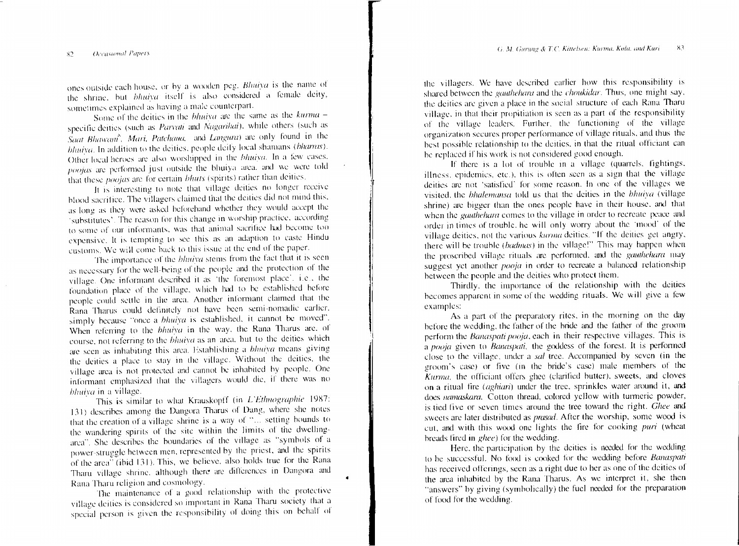ones outside each house. or hy a wooden peg. *Bhuiva* is the name or the shrine, but *bhuiva* itself is also considered a female deity, sometimes explained as having a male counterpart.

Some of the deities in the *bhuiva* are the same as the *kurma* specific deities (such as *Patvati* and Nugarihai), while others (such as Saat Bhawani<sup>8</sup>. Mari. Patchaua. and *Langura*) are only found in the *bhuiva*. In addition to the deities, people deify local shamans *(bharras)*. ()ther local heroes are also worshipped in the *bhuiva*. In a few cases, poojas are performed just outside the bhuiya area, and we were told that these *poojas* are for certain *hhuts* (spirits) rather than deities.

It is interesting to note that village deities no longer receive blood sncrilicc. The VIllagers claimed that the deities did not mind this. as long as they were asked heforehand whether they would accept the 'substitutes'. The reason for this change in worship practice, according to some of our informants, was that animal sacrifice had become too expensive. It is tempting to sec this as an adaption to caste Hindu eustoms. We will come back to this issue at the end of the paper.

The importance of the *bhuiva* stems from the fact that it is seen as necessary for the well-being of the people and the protection of the villauc One informant described it ax 'the foremost place'. i.c., the foundation place of the village, which had to be established before people could settle in the area. Another informant claimed that the Rana Tharus could definitely not have been semi-nomadic earlier. simply because "once a *bhuiya* is established, it cannot be moved". When referring to the *hhuivu* in the way. the Rana Tharus arc. of course. not referring to the *bhuiva* as an area. hut to the deities which are seen as inhabiting this area. Establishing a *bhuiva* means giving the deities a place to stay in the village. Without the deities, the village urea is not protected and cannot be inhabited by people. One informant emphasized that the viliagcrs would die. if there was no bhuiva in a village.

This is similar to what Krauskoptf (in *L'Ethnographic* 19K7: Ij Ij describes among the Dangora Tharus of Dang, where she notes that the creation of a village shrine is a way of "... setting bounds to the wandering spirits of the site within the limits of the dwellingarea". She describes the boundaries of the village as "symbols of a power-struggle hetween men. represented by the priest, and the spirits of the area<sup>"</sup> (ibid 131). This, we believe, also holds true for the Rana Tharu village shrine. although there are differences in Dangora and Rana Tharu religion and cosmology.

The maintenance of a good relationship with the protective village deities is considered so important in Rana Tharu society that a special person is given the responsibility of doing this on behalf of the villagers. We have described earlier how this responsibility is shared between the *gauthehara* and the *choukidar.* Thus, one might say. the deities are given a place in the social structure of each Rana Tharu village, in that their propitiation is seen as a part of the responsibility of the village leaders. Further, the functioning of the village organization secures proper performance of village rituals. and thus the best possible relationship to the deities, in that the ritual officiant can be replaced if his work is not considered good enough.

If there is a lot of trouble in a village (quarrels. fightings, illness, epidemics, etc.), this is often seen as a sign that the village deities arc not 'satisfied' for some rcaxun. In one of the villages we visited, the *bhalemansa* told us that the deities in the *bhuiva* (village shrine) are bigger than the ones people have in their house, and that when the *gauthchara* comes to the village in order to recreate peace and order in times of trouhle. he will only worry about the 'mood' of the village deities, not the various *kurma* deities. "If the deities get angry, there will be trouble ( $badmas$ ) in the village!" This may happen when the proscribed village rituals are performed. and the *gauthellam* may suggest yet another *pooja* in order to recreate a balanced relationship between the people and the deities who protect them.

Thirdly. the importance of the relationship with the deities becomes apparent in some of the wedding rituals. We will give a few examples:

As a part of the preparatory rites. in the morning on the day before the wedding. the father of the bride and the father of the groom perform the *Banaspati pooja,* each in their respective villages. This is a *pooja* given to *Banaspati,* the gcddcss of the forest. It is performed close (0 the village. under a *sal* tree. Accompanied by seven (in the groom's case) or five (in the bride's case) male members of the  $Kurm$ , the officiant offers ghee (clarified butter), sweets, and cloves on a ritual fire  $(aghiari)$  under the tree, sprinkles water around it, and does *namaskara.* Cation thread, colored yellow with turmeric powder, is tied five or seven times around the tree toward the right. Ghee and sweets are later distributed as prasad. After the worship, some wood is cut, and with this wood one lights the fire for cooking *puri* (wheat breads fired in *ghee*) for the wedding.

Here. the participation hy the deities is needed for the wedding to he successful. No food is cooked lor the wedding before *Banaspati* has received offerings, seen as a right due to her as one of the deities of the area inhabited by the Rana Tharus. As we interpret it, she then "answers" by giving (symbolically) the fuel needed for the preparation of food for the wedding.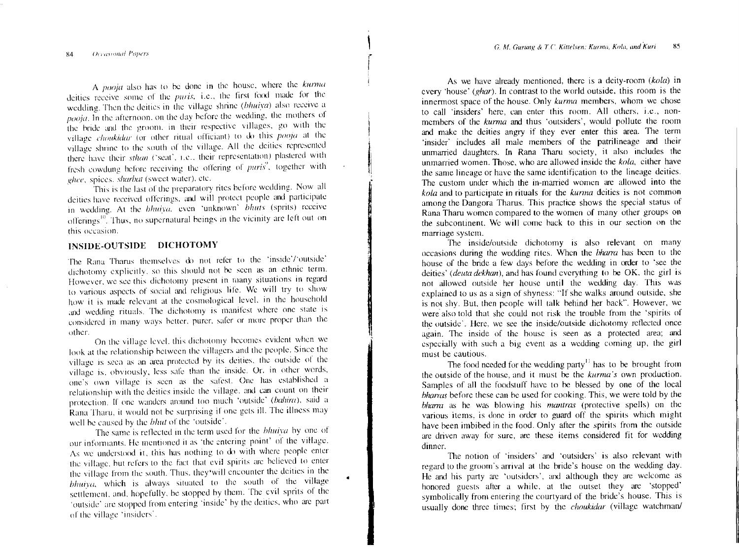**Occasional Papers** X4

A  $pooja$  also has to be done in the house, where the kurma deities receive some of the puris, i.e., the first food made for the wedding. Then the deities in the village shrine (bhuiva) also receive a pooja. In the afternoon. on the day before the wedding, the mothers of the bride and the groom. in their respective villages, go With the village *choukidar* (or other ritual officiant) to do this *pooja* at the village shrine to the south of the villagc. All the deities represented there have their *sthan* ('seat', i.e., their representation) plastered with fresh cowdung before receiving the offering of puris', together with ghee, spices. sharbat (sweet water), etc.

This is the last of the preparatory rites before wedding. Now all deities have received offerings, and will protect people and participate In wedding. At the *bhuiva,* even 'unknown' *bhuts* (sprits) receive offerings<sup>10</sup>. Thus, no supernatural beings in the vicinity are left out on this occasion.

#### **INSIDE-OllTSIDE DICHOTOMY**

The Rana Tharus themselves do not refer to the 'inside'/'outside' dichotomy explicitly, so this should not be seen as an ethnic term. However. we see this dichotomy present in many situations in regard to various aspects of social and religious life. We will try 10 show how it is made relevant at the cosmological level. in the household and wedding rituals. The dichotomy is manifest where one slate is considered in many ways better. purer. safer or more proper than the other.

On the village level. this dichotomy becomes evident when we look at the relationship between the villagers and the people. Since the village is seen as an area protected by its deities, the outside of the village is, obviously, less safe than the inside. Or. in other words, one's own village is seen as the safest. One has established a relationship with the deities inside the village. and can count on their protection. If one wanders around too much 'outside' (bahira), said a Rana Tharu, it would not be surprising if one gets ill. The illness may well he caused by the *bhut* of the "outside'.

The same is reflected in the term used for the *bhuiva* by one of our informants. He mentioned it as 'the entering point' of the village. As we understood it, this has nothing to do with where people enter the village, hut refers to the fact that evil spirits arc believed to enter the village from the south. Thus, thcy'will encounter the deities in the *bhuiva.* which is always situated to the south of the village settlement. and. hopefully. he stopped hy them. The evil sprits of the 'outside' are stopped from entering 'inside' by the deltics, who arc part of the villagc "insiders".

As we have already mentioned, there is a deity-room *(kola)* in every 'house' (ghar). In contrast to the world outside, this room is the innermost space of the house. Only *kurma* members, whom we chose to call 'insiders' here, can enter this room. All others, i.C., nonmembers of the *kurma* and thus 'outsiders', would pollute the room and make the deities angry if they ever enter this area. The term 'insider' includes all male members of the patrilineage and their unmarried daughters. In Rana Tharu society, it also includes the unmarried women. Those, who arc allowed imide the *kola,* either have the same lineage or have the same identification to the lineage deities. The custom under which the in-married women arc allowed into the *kola* and to participate in rituals for the *kurma* deities is not common among the Dangora Tharus. This practice shows the special status of Rana Tharu women compared to the women of many other groups on the subcontinent. We will come hack to this in our section on the marriage system.

The inside/outside dichotomy is also relevant on many occasions during the wedding rites. When the *Marra* has been to the house of the bride a few days before the wedding in order to 'see the deities' *(deuta dekhan)*, and has found everything to be OK, the girl is not allowed outside her house until the wedding day. This was explained to us as a sign of shyness: "If she walks around outside, she is not shy. But, then people wil1 talk behind her back". However, we were also told that she could not risk the trouble from the 'spirits of the outside'. Here, we see the inside/outside dichotomy reflected once again. The inside of the house is seen as a protected area; and especially with such a hig event as a wedding coming up, the girl must be cautious.

The food needed for the wedding party<sup>11</sup> has to be brought from the outside of the house, and it must be the *kurma's* own production. Samples of all the foodstuff have to he blessed by one of the local *bharras* before these can he used for cooking. This, we were told by the *bharra* as he was blowing his *mantras* (protective spells) on the various items, is done in order to guard off the spirits which might have heen imbibed in the food. Only after the spirits from the outside are driven away for sure, arc these items considered fit for wedding dinner.

The notion of 'insiders' and 'outsiders' is also relevant with regard to the groom's arrival at the bride's house on the wedding day. He and his party arc 'outsiders'. and although they are welcome as honored guests after a while, at the outset they arc 'stopped' symbolically from entering the courtyard of the bride's house. This is usually done three times; first by the *choukidar* (village watchman/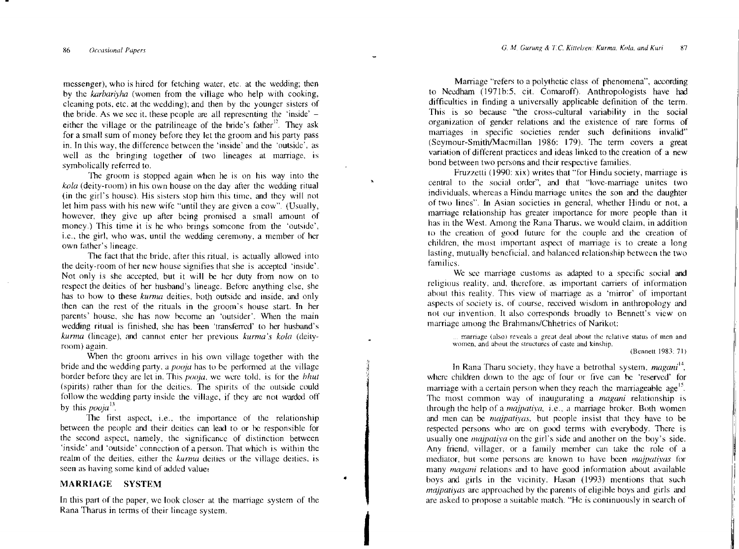messenger), who is hired for fetching water, etc. at the wedding; then by the *karbariyha* (women from the village who help with cooking, cleaning pots, etc. at the wedding); and then by the younger sisters of the bride. As we see it. these people are all representing the 'inside' either the village or the patrilineage of the bride's father<sup>12</sup>. They ask for a small sum of money before they let the groom and his party pass in. In this way, the difference between the 'inside' and the 'outside', as well as the bringing together of two lineages at marriage. is symbolically referred to.

The groom is stopped again when he is on his way into the *kola* (deity-room) in his own house on the day after the wedding ritual (in the girl's house). His sisters stop him this time. and they will not let him pass with his new wile "until they are given a cow". (Usually, however. they give up after being promised a small amount of money.) This time it is he who brings someone from the 'outside', i.c., the girl, who was, until the wedding ceremony. a member of her own father's lineage.

The fact that the bride, after this ritual, is actually allowed into the deity-room of her new house signifies that she is accepted 'inside'. Not only is she accepted, but it will be her duty from now on to respect the deities of her husband's lineage. Before anything else, she has to how to these *kurma* deities, both outside and inside, and only then can the rest of the rituals in the groom's house start. In her parents' house, she has now become an 'outsider'. When the main wedding ritual is finished, she has been 'transferred' to her husband's *kurma* (lineage), and cannot enter her previous *kurma's kola* (deityroom) again.

When the groom arrives in his own village together with the bride and the wedding party, a *pooja* has to be performed at the village border before they are let in. This *pooja,* we were told, is for the *bhut* (spirits) rather than for the deities. The spirits of the outside could follow the wedding party inside the village, if they are not warded off by this *pool* $a^{13}$ .

The first aspect, i.e., the importance of the relationship between the people and their deities can lead to or he responsible for the second aspect, namely, the significance of distinction between 'inside' and 'outside' connection of a person. That which is within the realm of the deities, either the *kurma* deities or the village deities, is seen as having some kind of added value.

#### **MARRIAGE** SYSTEM

In this part of the paper, we look closer at the marriage system of the Rana Tharus in terms of their lineage system.

•

|<br>|<br>|

Marriage "refers to a polythetic class of phenomena", according to Needham (1971b:5, cit. Comaroff). Anthropologists have had difficulties in finding a universally applicable definition of the term. This is so because "the cross-cultural variability in the social organization of gender relations and the existence of rare forms of marriages in specific societies render such definitions invalid" (Seymour-Smith/Macmillan 1986: 179). The term covers a great variation of different practices and ideas linked to the creation of a new bond between two persons and their respective families.

Fruzzctti (1990: xix) writes that "for Hindu society, marriage is central to the social order", and that "love-marriage unites two individuals. whereas a Hindu marriage unites the son and the daughter of two lines". In Asian societies in general, whether Hindu or not, a marriage relationship has greater importance for more people than it has in the West. Among the Rana Tharus. we would claim, in addition to the creation of good future for the couple and the creation of children, the most important aspect of marriage is to create a long lasting, mutually beneficial, and halanced relationship between the two families.

We see marriage customs as adapted to a specific social and religious reality, and, therefore, as important carriers of information about this reality. This view of marriage as a 'mirror' of important aspects of society is, of course, received wisdom in anthropology and not our invention. It also corresponds broadly to Bennett's view on marriage among the Brahmans/Chhetries of Narikot:

marriage (also) reveals a great deal about the relative status of men and women, and about the structures of caste and kinship. (Bennett 1983: 71)

In Rana Tharu society, they have a betrothal system, *magani*<sup>14</sup>, where children down to the age of four or five can be 'reserved' for marriage with a certain person when they reach the marriageable age<sup>15</sup> The most common way of inaugurating a *magani* relationship is through the help of a *majpativa,* i.e., a marriage broker. Both women and men can be *majpatiyas.* but people insist that they have to be respected persons who arc on good terms with everybody. There is usually one *majpativa* on the girl's side and another on the boy's side. Any friend, villager, or a family member can take the role of a mediator, but some persons arc known to have been *majpatiyas* for many *magani* relations and to have good information about available boys and girls in the vicinity. Hasan (1993) mentions that such *majpatiyas* are approached by the parents of eligible boys and girls and are asked to propose a suitable match. "He is continuously in search of

i |<br>|<br>| IIII

light the control of the control of the control of the control of the control of the control of the control of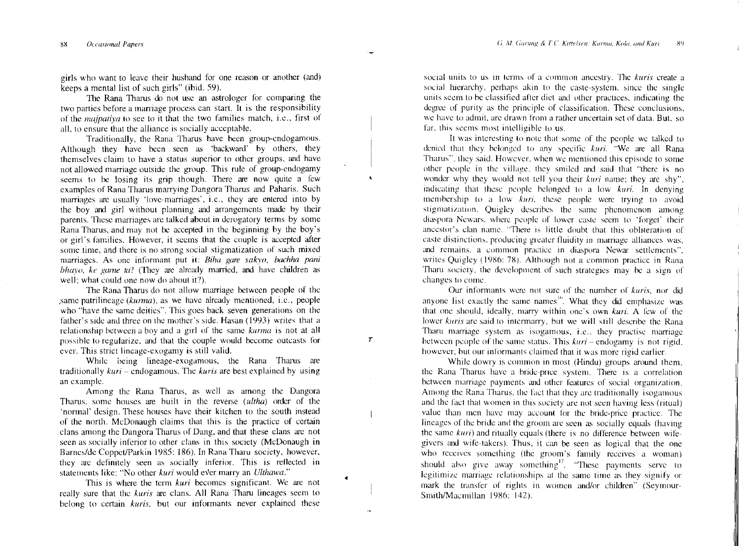girls who want to leave their husband for one reason or another (and) keeps a mental list of such girls" (ihid. 59).

The Rana Tharus do not use an astrologer for comparing the two parties before a marriage process can start. It is the responsibility of the *majpatiya* to see to it that the two families match, i.c., first of all, to ensure that the alliance is socially acceptable,

Traditionally, the Rana Tharus have been group-endogamous. Although they have been seen as 'backward' by others, they themselves claim to have a status superior to other groups, and have not allowed marriage outside the group. This rule of group-endogamy seems to be losing its grip though. There are now quite a few examples of Rana Tharus marrying Dangora Tharus and Paharis. Such marriages are usually 'love-marriages', i.e., they are entered into by the boy and girl without planning and arrangements made by their parents. These marriages arc talked about in derogatory terms by some Rana Tharus, and may not be accepted in the beginning by the boy's or girl's families. However, it seems that the couple is accepted after some time, and there is no strong social stigmatization of such mixed marriages, As one informant put it: *Biha Rare sakyo, bachha pani bhayo, ke game ta*? (They are already married, and have children as well; what could one now do about it?).

The Rana Tharus do not allow marriage between people of the .sarne patrilineage (kurma), as we have already mentioned, i.c., people who "have the same deities", This goes back seven generations on the father's SIde and three on the mother's side, Hasan (1993) writes that a relationship between a boy and a girl of the same *kurma* is not at all possible to regularize, and that the couple would become outcasts for ever. This strict lineage-exogamy is still valid.

While being lineage-exogamous, the Rana Tharus are traditionally *kuri* - endogamous. The *kuris* are best explained by using an example,

Among the Rana Tharus, as well as among the Dangora Tharus, some houses are huilt in the reverse (ultha) order of the 'normal' design, These houses have their kitchen to the south instead of the north, McDonaugh claims that this is the practice of certain clans among the Dangora Tharus of Dang, and that these clans arc not seen as socially inferior to other clans in this society (McDonaugh in Barnes/de Coppet/Parkin 1985: 186). In Rana Tharu society, however, they arc definitely seen as socially inferior. This is reflected in statements like: "No other *kuri* would ever marry an *Ulthawa"*

This is where the term *kuri* becomes significant. We arc not really sure that the *kuris* are clans. All Rana Tharu lineages seem to belong to certain *kuris,* but our informants never explained these social units to us in terms of a common ancestry. The *kuris* create a social hierarchy, perhaps akin to the caste-system. since the single units seem to he classified after diet and other practices. indicating the degree of purity as the principle of classification. These conclusions, we have to admit, arc drawn from a rather uncertain set of data, But. so far. this seems most intelligible to us.

It was interesting to note that some of the people we talked to denied that they belonged to any specific *kuri.* "We are all Rana Tharus". they said, However. when we mentioned this episode to some other people in the village. they smiled and said that "there is no wonder why they would not tell you their *kuri* name; they are shy". indicating that these people belonged to a low *kuri.* In denying membership to a low  $kuri$ , these people were trying to avoid stigmatization. Quigley describes the same phenomenon among diaspora Newars. where people of lower caste seem to 'forget" their ancestor's clan name, "There is little doubt that this obliteration of caste distinctions. producing greater fluidity in marriage alliances was, and remains, a common practice in diaspora Newar settlements", writes Quigley (1986: 78). Although not a common practice in Rana Tharu society. the development of such strategies may he a sign of changes to come,

Our informants were not sure of the number of *kuris,* nor did anyone Jist exactly the same names  $\frac{1}{2}$ . What they did emphasize was that one should, ideally. marry within one's own *kuri.* A few of the lower *kuris* arc said to intermarry, but we will still describe the Rana Tharu marriage system as isogamous, i.e., they practise marriage between people of the same status. This  $kuri$  - endogamy is not rigid. however, but our informants claimed that it was more rigid earlier.

While dowry is common in most (Hindu) groups around them, the Rana Tharus have a bride-price system, There is a correlation between marriage payments and other features of social organization, Among the Rana Tharus. the fact that they arc traditionally isogamous and the fact that women in this society are not seen having less (ritual) value than men have may account for the bride-price practice, The lineages of the bride and the groom are seen as socially equals (having the same kuri) and ritually equals (there is no difference between wifegivers and wife-takers), Thus, it can be seen as logical that the one who receives something (the groom's family receives a woman) should also give away something $\frac{17}{12}$  "These payments serve to legitimize marriage relationships at the same time as they signify or mark the transfer of rights in women and/or children" (Seymour-Smith/Macmillan 1986: 142).

 $\tau$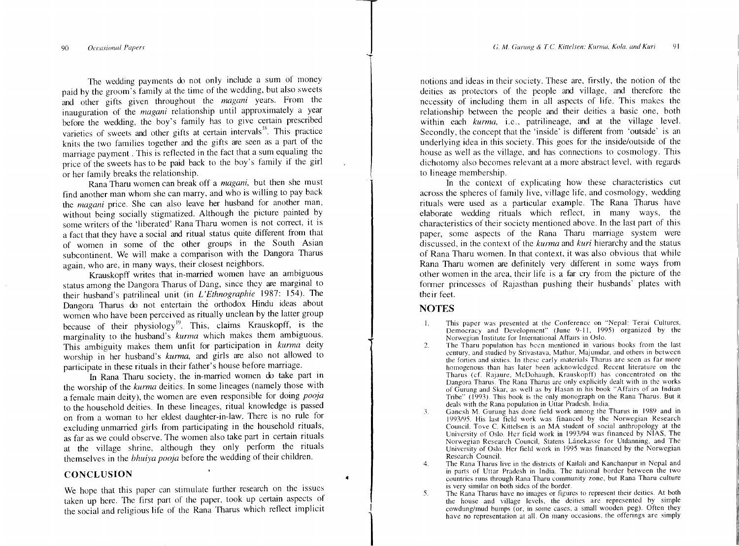The wedding payments do not only include a sum of money paid by the groom's family at the time of the wedding, but also sweets and other gifts given throughout the magani years. From the inauguration of the *magani* relationship until approximately a year before the wedding, the boy's family has to give certain prescribed varieties of sweets and other gifts at certain intervals<sup>18</sup>. This practice knits the two families together and the gifts are seen as a part of the marriage payment. This is reflected in the fact that a sum equaling the price of the sweets has to be paid back to the boy's family if the girl or her family breaks the relationship.

Rana Tharu women can break off a *magani,* but then she must find another man whom she can marry, and who is willing to pay back the *magani* price. She can also leave her husband for another man, without being socially stigmatized. Although the picture painted by some writers of the 'liberated' Rana Tharu women is not correct, it is a fact that they have a social and ritual status quite different from that of women in some of the other groups in the South Asian subcontinent. We will make a comparison with the Dangora Tharus again, who are, in many ways, their closest neighbors.

Krauskopff writes that in-married women have an ambiguous status among the Dangora Tharus of Dang, since they are marginal to their husband's patrilineal unit (in *L 'Ethnographic* 1987: 154). The Dangora Tharus do not entertain the orthodox Hindu ideas about women who have been perceived as ritually unclean by the latter group hecause of their physiology". This, claims Krauskopff, is the marginality to the husband's *kurma* which makes them ambiguous. This ambiguity makes them unfit for participation in *kurma* deity worship in her husband's *kurma,* and girls are also not allowed to participate in these rituals in their father's house before marriage.

In Rana Tharu society, the in-married women do take part in the worship of the *kurma* deities. In some lineages (namely those with a female main deity), the women are even responsible for doing *pooja* to the household deities. In these lineages, ritual knowledge is passed on from a woman to her eldest daughter-in-law. There is no rule for excluding unmarried girls from participating in the household rituals, as far as we could observe. The women also take part in certain rituals at the village shrine, although they only perform the rituals themselves in the *bhuiya pooja* before the wedding of their children.

#### **CONCLUSION**

We hope that this paper can stimulate further research on the issues taken up here. The first part of the paper, took up certain aspects of the social and religious life of the Rana Tharus which reflect implicit

notions and ideas in their society. These are, firstly, the notion of the deities as protectors of the people and village, and therefore the necessity of including them in all aspects of life. This makes the relationship between the people and their deities a basic one, both within each *kurma,* i.e., patrilineage, and at the village level. Secondly, the concept that the 'inside' is different from 'outside' is an underlying idea in this society. This goes for the inside/outside of the house as well as the village, and has connections to cosmology. This dichotomy also becomes relevant at a more abstract level. with regards to lineage membership.

In the context of explicating how these characteristics cut across the spheres of family live, village life, and cosmology, wedding rituals were used as a particular example. The Rana Tharus have elaborate wedding rituals which reflect, In many ways, the characteristics of their society mentioned above. In the last part of this paper, some aspects of the Rana Tharu marriage system were discussed, in the context of the *kurma* and *kuri* hierarchy and the status of Rana Tharu women. In that context, it was also ohvious that while Rana Tharu women are definitely very different in some ways from other women in the area, their life is a far cry from the picture of the former princesses of Rajasthan pushing their husbands' plates with their feet.

#### **NOTES**

4

I

 $\vert$ 

- I. This paper was presented at the Conference on "Nepal: Terai Cultures, Democracy and Development" (June 9-11. 1995) organized by the Norwegian Institute for International Affairs in Oslo.
- 2. The Tharu population has been mentioned in various books from the last century, and studied by Srivastava. Mathur. Majumdar, and others in between the forties and sixties. In these early materials Tharus arc seen as far more homogenous than has later been acknowledged. Recent literature on the Tharus (ef. Rajaure, McDohaugh. Krauskopff) has concentrated on the Dangora Tharus. The Rana Tharus are only explicitly dealt with in the works of Gurung and Skar, as well as by Hasan in his book "Affairs of an Indian Tribe" (1993). This hook is the only monograph on the Rana Tharus. But it deals with the Rana population in Uttar Pradesh. India.
- 3. Gancsh M. Gurung has done field work among the Tharus in 1989 and in 1993/95. His last field work was financed by the Norwegian Research Council. Tove C. Kittelsen is an MA student of social anthropology at the University of Oslo. Her field work in *1993/94* was financed by NIAS, The Norwegian Research Council, Statens Lånekasse for Utdanning, and The University of Oslo. Her field work in 1995 was financed by the Norwegian Research Council.
- 4. The Rana Tharus live in the districts of Kailali and Kanchanpur in Nepal and in parts of Uttar Pradesh in India. The national horder between the two countries runs through Rana Tharu community zone, but Rana Tharu culture is very similar on both sides of the border.
- 5. The Rana Tharus have no images or figures to represent their deities. At both the house and village levels, the deities are represented hy simple cowdung/mud bumps (or, in some cases, a small wooden peg). Often they have no representation at all. On many occasions, the offerings are simply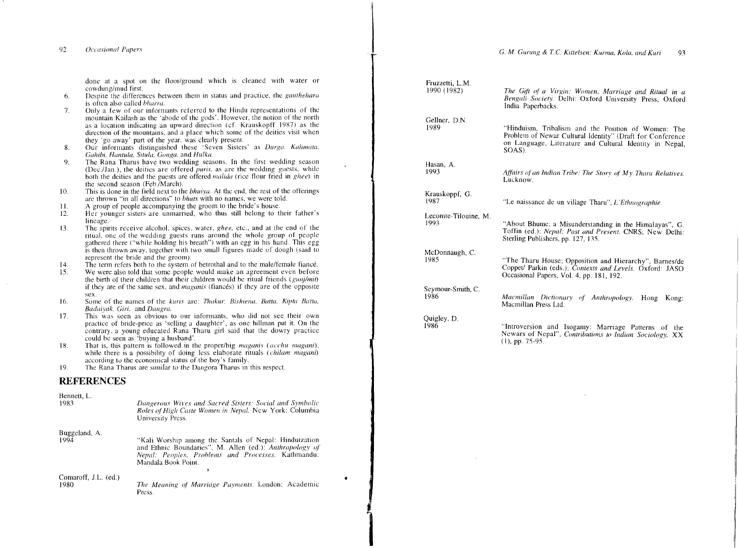done at a spot on the floor/ground which is cleaned with water or

- 6. cowdung/mud first.<br>Despite the differences between them in status and practice, the *gauthehara* is often also called *bharra.*
- 7. Only a few of our informants referred to the Hindu representations of the mountain Kailash as the 'abode of the gods'. However, the notion of the north as a location indicating an upward direction (cf. Krauskopff 1987) as the direction of the mountains, and a place which some of the deities visit when they 'go away' part of the year, was clearly present.
- 8. Our informants distinguished these 'Seven SIsters' as *Durga. Kalinuua. Gahibi, Haniula, Situla, Ganga.* and *Hulka.*
- 9. The Rana Tharus have two wedding seasons. In the first wedding season (Dec./Jan.), the deities are offered *puris*, as are the wedding guests, while both the deities and the guests are offered *malida* (rice flour fried in *ghee*) in the second season (Feb./March).
- 10 This is done in the field next to the *bhuiya.* At the end, the rest of the offerings are thrown "in all directions" to *bhuts* with no names, we were told.
- I\. A group of people accompanying the groom to the bride's house. .
- 12. Her younger sisters are unmarried, who thus still belong to their father's lineage.
- 13 The spirits receive alcohol, spices, water, *ghee*, etc., and at the end of the ritual. one of the wedding guests runs around the whole group of people gathered there ("while holding his breath") with an egg in his hand. This egg is then thrown away, together with two small figures made of dough (said to represent the bride and the groom).
- 14. The term refers both to the system of betrothal and to the male/female fiance.
- 15. We were also told that some people would make an agreement even before the birth of their children that their children would be ritual friends *(gunj/mit)* if they arc of the same sex, and *magunis* (fiances) if they are of the opposite **sex.**
- 16 *Badaivak. Giri.* and *Dangru. .*
- 17 Some of the names of the *kuris* are: *Thakur, Bishiena, Batta, Kipta Batta Badaiyak, Giri, and Dangra.*<br>
This was seen as obvious to our informants, who did not see their owr<br>
practice of bride-price as 'selling a daughte This was seen as obvious to our informants, who did not see their own practice of bride-price as 'selling a daughter', as one hillman put it. On the contrary, a young educated Rana Tharu girl said that the dowry practice
- 18. That is, this pattern is followed in the proper/big *maganis t acchu maganis,* while there is a possibility of doing less elaborate rituals *(chilam magani)* according to the economical status of the boy's family.
- 19 The Rana Tharus are similar to the Dangora Tharus in this respect.

#### **REFERENCES**

1980

| Bennett, L.<br>1983   | Dangerous Wives and Sacred Sisters: Social and Symbolic<br>Roles of High Caste Women in Nepal. New York: Columbia<br>University Press.                                                         |
|-----------------------|------------------------------------------------------------------------------------------------------------------------------------------------------------------------------------------------|
| Buggeland, A.<br>1994 | "Kali Worship among the Santals of Nepal: Hinduization<br>and Ethnic Boundaries", M. Allen (ed.): Anthropology of<br>Nepal: Peoples, Problems and Processes. Kathmandu:<br>Mandala Book Point. |
|                       |                                                                                                                                                                                                |

Comaroff, J.L. (ed.) *The Meaning of Marriage Payments.* London: Academic Press.

| Fruzzetti, L.M.<br>1990 (1982) | The Gift of a Virgin: Women, Marriage and Ritual in a<br>Bengali Society. Delhi: Oxford University Press, Oxford<br>India Paperbacks.                                                 |
|--------------------------------|---------------------------------------------------------------------------------------------------------------------------------------------------------------------------------------|
| Gellner, D.N.<br>1989          | "Hinduism, Tribalism and the Position of Women: The<br>Problem of Newar Cultural Identity" (Draft for Conference<br>on Language, Literature and Cultural Identity in Nepal,<br>SOAS). |
| Hasan, A.<br>1993              | Affairs of an Indian Tribe: The Story of My Tharu Relatives.<br>Lucknow.                                                                                                              |
| Krauskoppf, G.<br>1987         | "Le naissance de un village Tharu", L'Ethnographie.                                                                                                                                   |
| Lecomte-Tilouine, M.<br>1993   | "About Bhume; a Misunderstanding in the Himalayas", G.<br>Toffin (ed.): Nepal: Past and Present. CNRS; New Delhi:<br>Sterling Publishers, pp. 127, 135.                               |
| McDonnaugh, C.<br>1985         | "The Tharu House; Opposition and Hierarchy", Barnes/de<br>Coppet/ Parkin (eds.): Contexts and Levels. Oxford: JASO<br>Occasional Papers, Vol. 4, pp. 181, 192.                        |
| Seymour-Smith, C.<br>1986      | Macmillan Dictionary of Anthropology. Hong Kong:<br>Macmillan Press Ltd.                                                                                                              |
| Quigley, D.<br>1986            | "Introversion and Isogamy: Marriage Patterns of the<br>Newars of Nepal", Contributions to Indian Sociology, XX<br>$(1)$ , pp. 75-95.                                                  |
|                                |                                                                                                                                                                                       |
|                                |                                                                                                                                                                                       |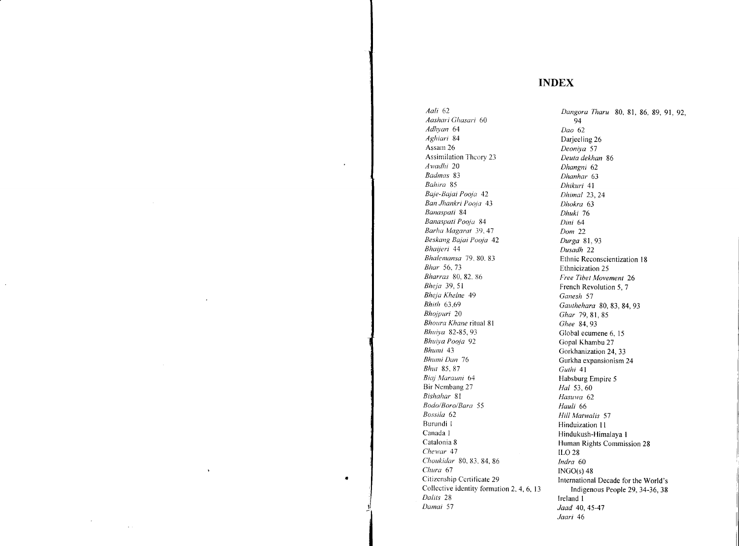## **INDEX**

*Aali 62 Aashari Ghasari 60 Adhyan 64 Aghiari 84* Assam 26 Assimilation Theory 23 *Awadhi 20 Badmas 83 Bahira 85 Baje-Bajai Pooja 42 Ban Jhankri Pooja 43 Banaspati 84 Banaspati Pooja 84 Barha Magarat* 39.47 *Beskang Bajai Pooja 42 Bhaijeri 44 Bhalemansa* 79. 80. 83 *Bhar* 56. 73 *Bharras* 80, 82. 86 *Bheja* 39,51 *Bheja Khelne* 49 *Bhith 63,69 Bhojpuri 20 Bhoura Khane* ritual 81 *Bhuiya* 82-85, 93 *Bhuiya Pooja 92 Bhumi 43 Bhumi Dan 76 Bhut* 85,87 *Biaj Marauni 64* Bir Nernbang 27 *Bishaliar* 81 *Bodo/Boro/Bara 55 Bossila 62* Burundi I Canada I Catalonia 8 *Chewar 47 Choukidar* 80, 83. 84, 86 *Chura 67* Citizenship Certificate 29 Collective identity formation 2, 4, 6, 13 *Dalits 28 Damai 57*

•

 $\sim$   $\sim$ 

*Dangora Tharu* 80, 81, 86, 89, 91, 92, 94 *Dao 62* Darjeeling 26 *Deoniya 57 Deuta dekhan 86 Dhangni 62 Dhanhar 63 Dhikuri 41 Dhimal* 23,24 *Dhokra 63 Dhuki 76 Dini 64 Dom 22 Durga* 81,93 *Dusadh 22* Ethnic Reconscientization 18 Ethnicization 25 *Free Tibet Movement 26* French Revolution 5, 7 *Ganesh 57 Gauthehara* 80, 83, 84,93 *Ghar 79,81,85 Ghee* 84,93 Global ecumene 6, 15 Gopal Khambu 27 Gorkhanization 24, 33 Gurkha expansionism 24 *Guthi 41* Habsburg Empire 5 *Hal* 53,60 *Hasuwa 62 Hauli 66 Hill Matwalis 57* Hinduization II Hindukush-Himalaya I Human Rights Commission 28 IL028 *Indra 60* INGO(s) 48 International Decade for the World's Indigenous People 29, 34-36, 38 Ireland I *Jaad* 40,45-47 *Jaari 46*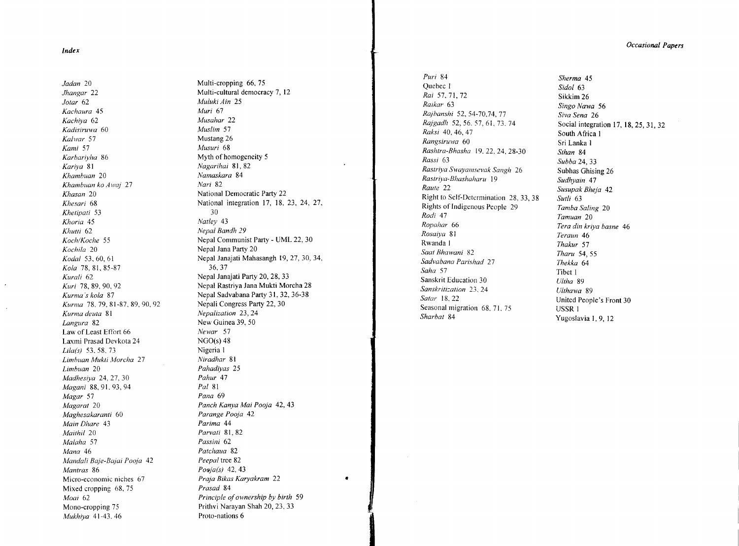*Occasional Papers*

*Index*

*Jadan 20 Jhangar 22 Jotar 62 Kachaura 45 Kachiya 62 Kadisiruwa 60 Kalwar 57 Kami 57 Karbariyha 86 Kariya* 81 *Khambuan 20 Khambuan ko Awa) 27 Khasan 20 Khesari 68 Khetipati 53 Khoria 45 Khutti 62 Koch/Koche 55 Kochila 20 Kodal* 53,60,61 *Kola* 78, 81, 85-87 *Kurali 62 Kuri* 78, 89, 90, 92 *Kurma's kola* 87 *Kurma* 78,79,81-87,89,90,92 *Kurma deuta* 81 *Langura 82* Law of Least Effort 66 Laxmi Prasad Devkota 24 *Lilais)* 53,58, 73 *Limbuan Mukti Morcha 27 Limbuan 20 Madhesrya 24,27,30 Magani* 88,91, 93, 94 *Magar 57 Magarat 20 Maghesakaranti 60 Main Dhare 43 Maithil20 Malaha 57 Mana 46 Mandali Baje-Bajai Poo)a 42 Mantras 86* Micro-economic niches 67 Mixed cropping 68, 75 *Moai 62* Mono-cropping 75 *Mukhiya* 41-43,46

Multi-cropping 66, 75 Multi-cultural democracy 7, 12 *Muluki Ain 25 Muri 67 Musahar 22 Muslim 57* Mustang 26 *Musuri 68* Myth of homogeneity 5 *Nagarihai* 81, 82 *Namaskara 84 Nari 82* National Democratic Party 22 National integration 17, 18, 23, 24, 27, 30 *Natley 43 Nepal Bandh 29* Nepal Communist Party - UML 22, 30 Nepal lana Party 20 Nepal lanajati Mahasangh 19,27,30,34, 36,37 Nepal lanajati Party 20, 28, 33 Nepal Rastriya lana Mukti Morcha 28 Nepal Sadvabana Party 31,32,36-38 Nepali Congress Party 22, 30 *Nepalization* 23,24 New Guinea 39, 50 *Newar 57*  $NGO(s)$  48 Nigeria I *Niradhar* 81 *Pahadiyas 25 Pahur 47 Pal* 81 *Pana 69 Panch Kanya Mai Poo)a* 42, 43 *Parange Poo)a 42 Parima 44 Parvati* 81, 82 *Passini 62 Patchaua 82 Peepal* tree 82 *Poojats)* 42, 43 *Praja Bikas Karyakram 22 Prasad 84 Principle of ownership by birth* 59 Prithvi Narayan Shah 20, 23, 33 Proto-nations 6

•

**I** 

*Puri 84* Quebec 1 *Rai* 57,71,72 *Raikar 63 Rajbanshi* 52,54-70,74,77 *Ra)gadh* 52,56,57,61,73,74 *Raksi* 40, 46, 47 *Rangsiruwa 60 Rashtra-Bhasha* 19,22, 24, 28-30 *Rassi 63 Rastriya Swayamsevak Sangh 26 Rastriya-Bhashaharu 19 Raute 22* Right to Self-Determination 28,33,38 Rights of Indigenous People 29 *Rodi 47 Ropahar 66 Rosaiya* 81 Rwanda I *Saat Bhawani 82 Sadvabana Parishad 27 Saha 57* Sanskrit Education 30 *Sanskritization* 23,24 *Satar* 18,22 Seasonal migration 68, 71, 75 *Sharbat 84*

*Sherma 45 Sidol63* Sikkim 26 *Singo* Nawa *56 Siva Sena 26* Social integration 17, 18,25,31,32 South Africa I Sri Lanka 1 *Sthan 84 Subba* 24,33 Subhas Ghising 26 *Sudhyain 47 Susupak Bhe)a 42 Sutli 63 Tamba Saling 20 Tamuan 20 Tera din kriya basne 46 Teraun 46 Thakur 57 Tharu* 54,55 *Thekka 64* Tibet I *Ultha 89 Ulthawa 89* United People's Front 30 USSR I Yugoslavia I, 9, 12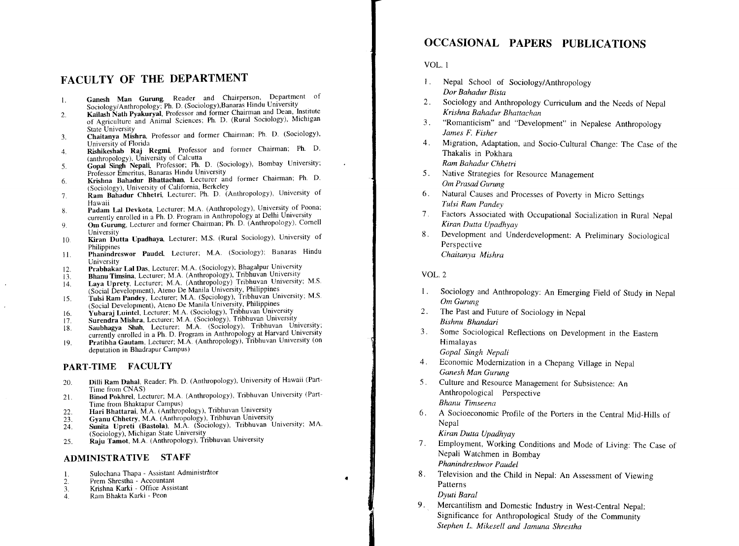# FACULTY OF THE DEPARTMENT

- I. Ganesh Man Gurung, Reader and Chairperson, Department of Sociology/Anthropology; Ph. D. (Sociology),Banaras Hindu University
- 2. Kailash Nath Pyakuryal, Professor and former Chairman and Dean, Institute of Agriculture and Animal Sciences; Ph. D. (Rural Sociology), Michigan
- State University 3. Chaitanya Mishra, Professor and former Chairman; Ph. D. (Sociology),
- University of Florida<br>
4. Rishikeshab Raj Regmi, Professor and former Chairman; Ph. D.<br>
(anthropology), University of Calcutta
- (anthropology), University of Calcutta 5. Gopal Singh Nepali, Professor; Ph. D. (Sociology), Bombay University; Professor Emeritus, Banaras Hindu University
- 6. Krishna Bahadur Bhattachan, Lecturer and former Chairman; Ph. D. (Sociology), University of California, Berkeley
- 7. Ram Bahadur Chhetri, Lecturer; Ph. D. (Anthropology), University of Hawaii
- 8. Padam Lal Devkota, Lecturer; M.A. (Anthropology), University of Poona; currently enrolled in a Ph. D. Program in Anthropology at Delhi University
- 9. Om Gurung, Lecturer and former Chairman; Ph. D. (Anthropology), Cornell
- University<br>10. **Kiran Dutta Upadhaya**, Lecturer; M.S. (Rural Sociology), University of
- Philippines 11. Phanindreswor Paudel, Lecturer; M.A. (Sociology): Banaras Hindu
- University 12. Prabhakar Lal Das, Lecturer; M.A. (Sociology); Bhagalpur University
- 13. Bhanu Timsina, Lecturer; M.A. (Anthropology), Tribhuvan University
- 14. Laya Uprety, Lecturer; M.A. (Anthropology) Tribhuvan University; M.S. (Social Development), Ateno De Manila University, Philippines
- 15. Tulsi Ram Pandey, Lecturer; M.A. (Sociology), Tribhuvan University; M.S. (Social Development), Ateno De Manila University, Philippines
- 16. Yubaraj Luintel, Lecturer; M.A. (Sociology), Tribhuvan University
- 17. Surendra Mishra, Lecturer; M.A. (Sociology), Tribhuvan University
- 18. Saubhagya Shah, Lecturer; M.A. (Sociology), Tribhuvan University; currently enrolled in a Ph. D. Program in Anthropology at Harvard University
- 19. Pratibha Gautam, Lecturer; M.A. (Anthropology), Tribhuvan University (on deputation in Bhadrapur Campus)

#### PART-TIME FACULTY

- 20. Dilli Ram Dahal, Reader; Ph. D. (Anthropology), University of Hawaii (Part-Time from CNAS)
- 21. Binod Pokhrel, Lecturer; M.A. (Anthropology), Tribhuvan University (Part-Time from Bhaktapur Campus)
- 22. Hari Bhattarai, M.A. (Anthropology), Tribhuvan University
- 23. Gyanu Chhetry, M.A. (Anthropology), Tribhuvan University
- 22. Sunita Upreti (Bastola), M.A. (Sociology), Tribhuvan University; MA. (Sociology), Michigan State University
- 25. Raju Tamot, M.A. (Anthropology), Tribhuvan University

#### ADMINISTRATIVE STAFF

- I. Sulochana Thapa Assistant Administrator
- 2. Prem Shrestha Accountant
- 3. Krishna Karki Office Assistant
- 4. Ram Bhakta Karki Peon

# OCCASIONAL PAPERS PUBLICATIONS

VOL. 1

- I. Nepal School of Sociology/Anthropology *Dor Bahadur Bista*
- 2. Sociology and Anthropology Curriculum and the Needs of Nepal *Krishna Bahadur Bhattachan*
- 3. "Romanticism" and "Development" in Nepalese Anthropology *James F. Fisher*
- 4. Migration, Adaptation, and Socio-Cultural Change: The Case of the Thakalis in Pokhara *Ram Bahadur Chhetri*
- 5. Native Strategies for Resource Management *Om Prasad Gurung*
- 6. Natural Causes and Processes of Poverty in Micro Settings *Tulsi Ram Pandey*
- 7. Factors Associated with Occupational Socialization in Rural Nepal *Kiran Dutta Upadhyay*
- 8. Development and Underdevelopment: A Preliminary Sociological Perspective *Chaitanya Mishra*

#### VOL. 2

4.

I

- I. Sociology and Anthropology: An Emerging Field of Study in Nepal *Om Gurung*
- 2. The Past and Future of Sociology in Nepal *Bishnu Bhandari*
- 3. Some Sociological Reflections on Development in the Eastern Himalayas *Gopal Singh Nepali*

Economic Modernization in a Chepang Village in Nepal

- 5. Culture and Resource Management for Subsistence: An *Ganesh Man Gurung*
- Anthropological Perspective *Bhanu Timseena*
- 6. A Socioeconomic Profile of the Porters in the Central Mid-Hills of Nepal

*Kiran Dutta Upadhyay*

- 7. Employment, Working Conditions and Mode of Living: The Case of Nepali Watchmen in Bombay *Phanindreshwor Paudel*
- $\bullet$  8. Television and the Child in Nepal: An Assessment of Viewing Patterns

*Dyuti Baral*

9. Mercantilism and Domestic Industry in West-Central Nepal: Significance for Anthropological Study of the Community *Stephen L. Mikesell and Jamuna Shrestha*